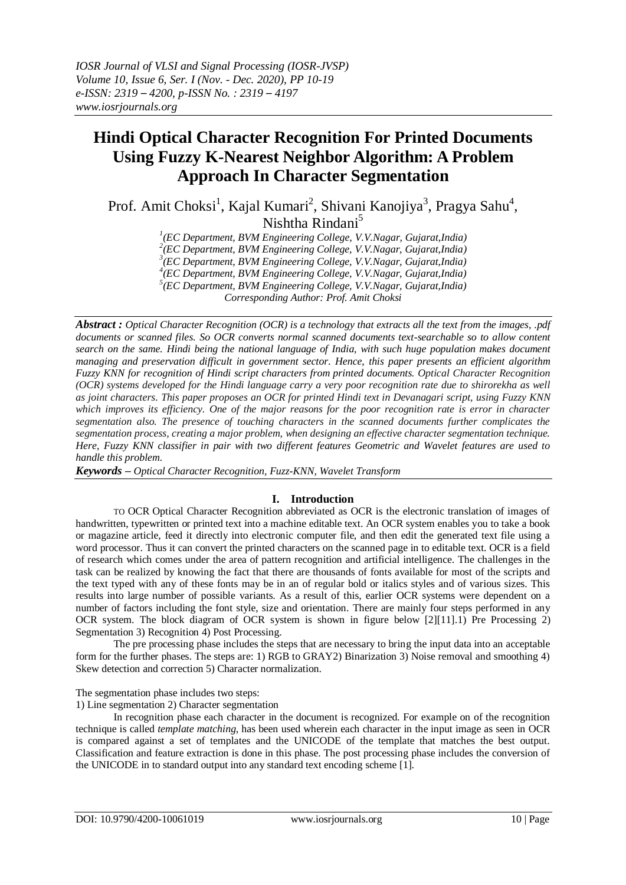# **Hindi Optical Character Recognition For Printed Documents Using Fuzzy K-Nearest Neighbor Algorithm: A Problem Approach In Character Segmentation**

Prof. Amit Choksi<sup>1</sup>, Kajal Kumari<sup>2</sup>, Shivani Kanojiya<sup>3</sup>, Pragya Sahu<sup>4</sup>, Nishtha Rindani<sup>5</sup>

*1 (EC Department, BVM Engineering College, V.V.Nagar, Gujarat,India)*

*2 (EC Department, BVM Engineering College, V.V.Nagar, Gujarat,India)*

*3 (EC Department, BVM Engineering College, V.V.Nagar, Gujarat,India) 4 (EC Department, BVM Engineering College, V.V.Nagar, Gujarat,India)*

*5 (EC Department, BVM Engineering College, V.V.Nagar, Gujarat,India)*

*Corresponding Author: Prof. Amit Choksi*

*Abstract : [Optical Character Recognition \(OCR\)](https://www.ricohdocs.com/ocr-software.php) is a technology that extracts all the text from the images, .pdf documents or scanned files. So OCR converts normal scanned documents text-searchable so to allow content search on the same. Hindi being the national language of India, with such huge population makes document managing and preservation difficult in government sector. Hence, this paper presents an efficient algorithm Fuzzy KNN for recognition of Hindi script characters from printed documents. Optical Character Recognition (OCR) systems developed for the Hindi language carry a very poor recognition rate due to shirorekha as well as joint characters. This paper proposes an OCR for printed Hindi text in Devanagari script, using Fuzzy KNN which improves its efficiency. One of the major reasons for the poor recognition rate is error in character segmentation also. The presence of touching characters in the scanned documents further complicates the segmentation process, creating a major problem, when designing an effective character segmentation technique. Here, Fuzzy KNN classifier in pair with two different features Geometric and Wavelet features are used to handle this problem.* 

*Keywords – Optical Character Recognition, Fuzz-KNN, Wavelet Transform*

# **I. Introduction**

TO OCR Optical Character Recognition abbreviated as OCR is the electronic translation of images of handwritten, typewritten or printed text into a machine editable text. An OCR system enables you to take a book or magazine article, feed it directly into electronic computer file, and then edit the generated text file using a word processor. Thus it can convert the printed characters on the scanned page in to editable text. OCR is a field of research which comes under the area of pattern recognition and artificial intelligence. The challenges in the task can be realized by knowing the fact that there are thousands of fonts available for most of the scripts and the text typed with any of these fonts may be in an of regular bold or italics styles and of various sizes. This results into large number of possible variants. As a result of this, earlier OCR systems were dependent on a number of factors including the font style, size and orientation. There are mainly four steps performed in any OCR system. The block diagram of OCR system is shown in figure below [2][11].1) Pre Processing 2) Segmentation 3) Recognition 4) Post Processing.

The pre processing phase includes the steps that are necessary to bring the input data into an acceptable form for the further phases. The steps are: 1) RGB to GRAY2) Binarization 3) Noise removal and smoothing 4) Skew detection and correction 5) Character normalization.

The segmentation phase includes two steps:

1) Line segmentation 2) Character segmentation

In recognition phase each character in the document is recognized. For example on of the recognition technique is called *template matching*, has been used wherein each character in the input image as seen in OCR is compared against a set of templates and the UNICODE of the template that matches the best output. Classification and feature extraction is done in this phase. The post processing phase includes the conversion of the UNICODE in to standard output into any standard text encoding scheme [1].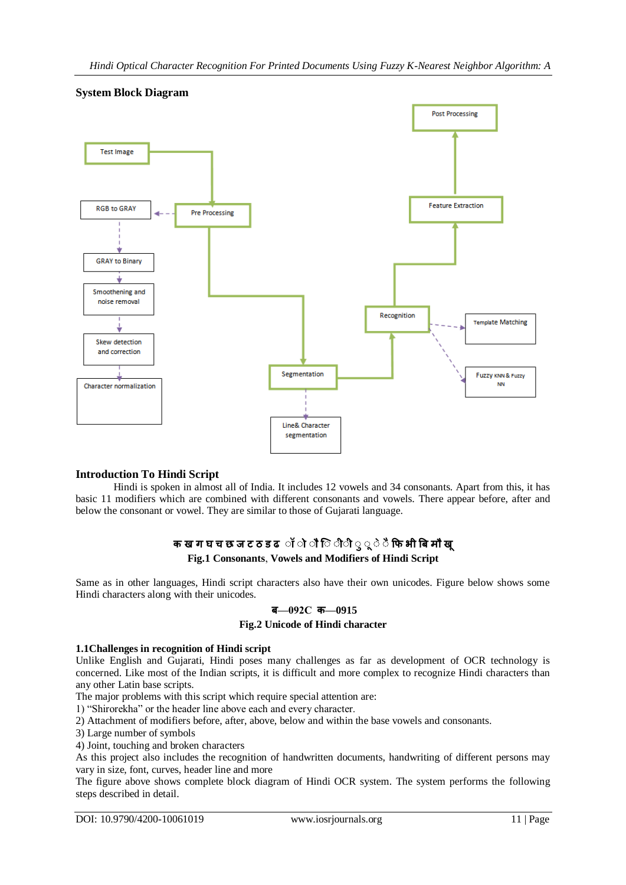

# **System Block Diagram**

# **Introduction To Hindi Script**

Hindi is spoken in almost all of India. It includes 12 vowels and 34 consonants. Apart from this, it has basic 11 modifiers which are combined with different consonants and vowels. There appear before, after and below the consonant or vowel. They are similar to those of Gujarati language.

# **क ख ग घ च छ ज ट ठ ड ढ ॉ ॉ ॉ िॉ ॉ ॉ ॉ ॉ ॉ ॉ फि भ बि म ख Fig.1 Consonants**, **Vowels and Modifiers of Hindi Script**

Same as in other languages, Hindi script characters also have their own unicodes. Figure below shows some Hindi characters along with their unicodes.

### **ि—092C क—0915**

### **Fig.2 Unicode of Hindi character**

### **1.1Challenges in recognition of Hindi script**

Unlike English and Gujarati, Hindi poses many challenges as far as development of OCR technology is concerned. Like most of the Indian scripts, it is difficult and more complex to recognize Hindi characters than any other Latin base scripts.

The major problems with this script which require special attention are:

1) "Shirorekha" or the header line above each and every character.

2) Attachment of modifiers before, after, above, below and within the base vowels and consonants.

3) Large number of symbols

4) Joint, touching and broken characters

As this project also includes the recognition of handwritten documents, handwriting of different persons may vary in size, font, curves, header line and more

The figure above shows complete block diagram of Hindi OCR system. The system performs the following steps described in detail.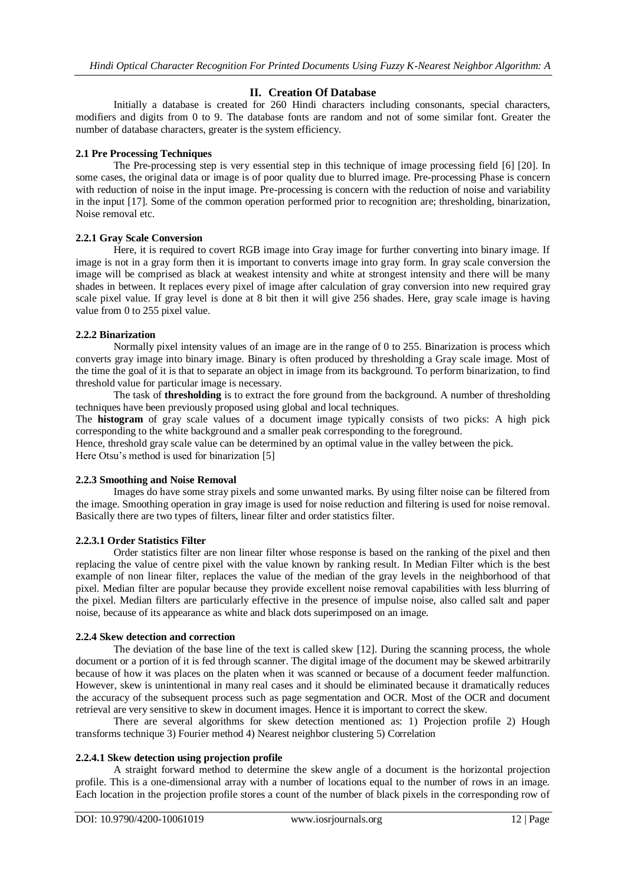# **II. Creation Of Database**

Initially a database is created for 260 Hindi characters including consonants, special characters, modifiers and digits from 0 to 9. The database fonts are random and not of some similar font. Greater the number of database characters, greater is the system efficiency.

### **2.1 Pre Processing Techniques**

The Pre-processing step is very essential step in this technique of image processing field [6] [20]. In some cases, the original data or image is of poor quality due to blurred image. Pre-processing Phase is concern with reduction of noise in the input image. Pre-processing is concern with the reduction of noise and variability in the input [17]. Some of the common operation performed prior to recognition are; thresholding, binarization, Noise removal etc.

### **2.2.1 Gray Scale Conversion**

Here, it is required to covert RGB image into Gray image for further converting into binary image. If image is not in a gray form then it is important to converts image into gray form. In gray scale conversion the image will be comprised as black at weakest intensity and white at strongest intensity and there will be many shades in between. It replaces every pixel of image after calculation of gray conversion into new required gray scale pixel value. If gray level is done at 8 bit then it will give 256 shades. Here, gray scale image is having value from 0 to 255 pixel value.

### **2.2.2 Binarization**

Normally pixel intensity values of an image are in the range of 0 to 255. Binarization is process which converts gray image into binary image. Binary is often produced by thresholding a Gray scale image. Most of the time the goal of it is that to separate an object in image from its background. To perform binarization, to find threshold value for particular image is necessary.

The task of **thresholding** is to extract the fore ground from the background. A number of thresholding techniques have been previously proposed using global and local techniques.

The **histogram** of gray scale values of a document image typically consists of two picks: A high pick corresponding to the white background and a smaller peak corresponding to the foreground.

Hence, threshold gray scale value can be determined by an optimal value in the valley between the pick. Here Otsu's method is used for binarization [5]

### **2.2.3 Smoothing and Noise Removal**

Images do have some stray pixels and some unwanted marks. By using filter noise can be filtered from the image. Smoothing operation in gray image is used for noise reduction and filtering is used for noise removal. Basically there are two types of filters, linear filter and order statistics filter.

### **2.2.3.1 Order Statistics Filter**

Order statistics filter are non linear filter whose response is based on the ranking of the pixel and then replacing the value of centre pixel with the value known by ranking result. In Median Filter which is the best example of non linear filter, replaces the value of the median of the gray levels in the neighborhood of that pixel. Median filter are popular because they provide excellent noise removal capabilities with less blurring of the pixel. Median filters are particularly effective in the presence of impulse noise, also called salt and paper noise, because of its appearance as white and black dots superimposed on an image.

### **2.2.4 Skew detection and correction**

The deviation of the base line of the text is called skew [12]. During the scanning process, the whole document or a portion of it is fed through scanner. The digital image of the document may be skewed arbitrarily because of how it was places on the platen when it was scanned or because of a document feeder malfunction. However, skew is unintentional in many real cases and it should be eliminated because it dramatically reduces the accuracy of the subsequent process such as page segmentation and OCR. Most of the OCR and document retrieval are very sensitive to skew in document images. Hence it is important to correct the skew.

There are several algorithms for skew detection mentioned as: 1) Projection profile 2) Hough transforms technique 3) Fourier method 4) Nearest neighbor clustering 5) Correlation

### **2.2.4.1 Skew detection using projection profile**

A straight forward method to determine the skew angle of a document is the horizontal projection profile. This is a one-dimensional array with a number of locations equal to the number of rows in an image. Each location in the projection profile stores a count of the number of black pixels in the corresponding row of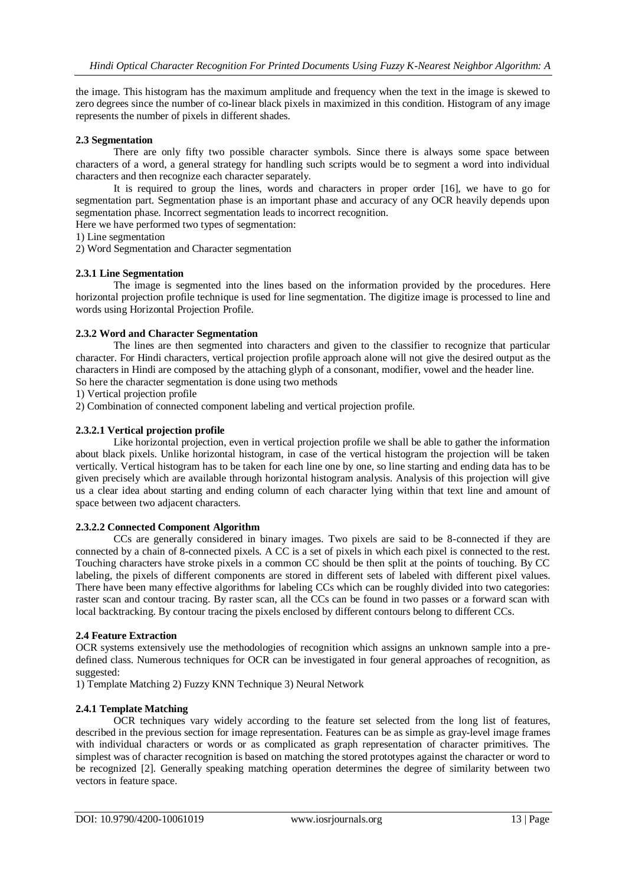the image. This histogram has the maximum amplitude and frequency when the text in the image is skewed to zero degrees since the number of co-linear black pixels in maximized in this condition. Histogram of any image represents the number of pixels in different shades.

### **2.3 Segmentation**

There are only fifty two possible character symbols. Since there is always some space between characters of a word, a general strategy for handling such scripts would be to segment a word into individual characters and then recognize each character separately.

It is required to group the lines, words and characters in proper order [16], we have to go for segmentation part. Segmentation phase is an important phase and accuracy of any OCR heavily depends upon segmentation phase. Incorrect segmentation leads to incorrect recognition.

Here we have performed two types of segmentation:

1) Line segmentation

2) Word Segmentation and Character segmentation

### **2.3.1 Line Segmentation**

The image is segmented into the lines based on the information provided by the procedures. Here horizontal projection profile technique is used for line segmentation. The digitize image is processed to line and words using Horizontal Projection Profile.

### **2.3.2 Word and Character Segmentation**

The lines are then segmented into characters and given to the classifier to recognize that particular character. For Hindi characters, vertical projection profile approach alone will not give the desired output as the characters in Hindi are composed by the attaching glyph of a consonant, modifier, vowel and the header line. So here the character segmentation is done using two methods

1) Vertical projection profile

2) Combination of connected component labeling and vertical projection profile.

### **2.3.2.1 Vertical projection profile**

Like horizontal projection, even in vertical projection profile we shall be able to gather the information about black pixels. Unlike horizontal histogram, in case of the vertical histogram the projection will be taken vertically. Vertical histogram has to be taken for each line one by one, so line starting and ending data has to be given precisely which are available through horizontal histogram analysis. Analysis of this projection will give us a clear idea about starting and ending column of each character lying within that text line and amount of space between two adjacent characters.

### **2.3.2.2 Connected Component Algorithm**

CCs are generally considered in binary images. Two pixels are said to be 8-connected if they are connected by a chain of 8-connected pixels. A CC is a set of pixels in which each pixel is connected to the rest. Touching characters have stroke pixels in a common CC should be then split at the points of touching. By CC labeling, the pixels of different components are stored in different sets of labeled with different pixel values. There have been many effective algorithms for labeling CCs which can be roughly divided into two categories: raster scan and contour tracing. By raster scan, all the CCs can be found in two passes or a forward scan with local backtracking. By contour tracing the pixels enclosed by different contours belong to different CCs.

### **2.4 Feature Extraction**

OCR systems extensively use the methodologies of recognition which assigns an unknown sample into a predefined class. Numerous techniques for OCR can be investigated in four general approaches of recognition, as suggested:

1) Template Matching 2) Fuzzy KNN Technique 3) Neural Network

### **2.4.1 Template Matching**

OCR techniques vary widely according to the feature set selected from the long list of features, described in the previous section for image representation. Features can be as simple as gray-level image frames with individual characters or words or as complicated as graph representation of character primitives. The simplest was of character recognition is based on matching the stored prototypes against the character or word to be recognized [2]. Generally speaking matching operation determines the degree of similarity between two vectors in feature space.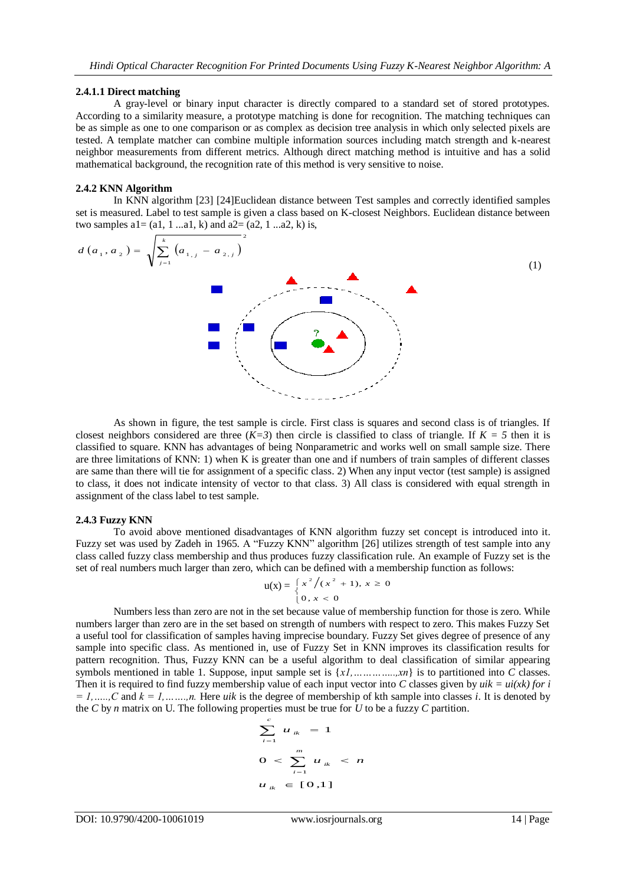#### **2.4.1.1 Direct matching**

A gray-level or binary input character is directly compared to a standard set of stored prototypes. According to a similarity measure, a prototype matching is done for recognition. The matching techniques can be as simple as one to one comparison or as complex as decision tree analysis in which only selected pixels are tested. A template matcher can combine multiple information sources including match strength and k-nearest neighbor measurements from different metrics. Although direct matching method is intuitive and has a solid mathematical background, the recognition rate of this method is very sensitive to noise.

### **2.4.2 KNN Algorithm**

In KNN algorithm [23] [24]Euclidean distance between Test samples and correctly identified samples set is measured. Label to test sample is given a class based on K-closest Neighbors. Euclidean distance between two samples  $a1 = (a1, 1 \dots a1, k)$  and  $a2 = (a2, 1 \dots a2, k)$  is,

$$
d(a_1, a_2) = \sqrt{\sum_{j=1}^{k} (a_{1,j} - a_{2,j})^2}
$$
 (1)

As shown in figure, the test sample is circle. First class is squares and second class is of triangles. If closest neighbors considered are three  $(K=3)$  then circle is classified to class of triangle. If  $K = 5$  then it is classified to square. KNN has advantages of being Nonparametric and works well on small sample size. There are three limitations of KNN: 1) when  $\overline{K}$  is greater than one and if numbers of train samples of different classes are same than there will tie for assignment of a specific class. 2) When any input vector (test sample) is assigned to class, it does not indicate intensity of vector to that class. 3) All class is considered with equal strength in assignment of the class label to test sample.

#### **2.4.3 Fuzzy KNN**

To avoid above mentioned disadvantages of KNN algorithm fuzzy set concept is introduced into it. Fuzzy set was used by Zadeh in 1965. A "Fuzzy KNN" algorithm [26] utilizes strength of test sample into any class called fuzzy class membership and thus produces fuzzy classification rule. An example of Fuzzy set is the set of real numbers much larger than zero, which can be defined with a membership function as follows:

$$
u(x) = \begin{cases} x^2/(x^2 + 1), & x \ge 0 \\ 0, & x < 0 \end{cases}
$$

Numbers less than zero are not in the set because value of membership function for those is zero. While numbers larger than zero are in the set based on strength of numbers with respect to zero. This makes Fuzzy Set a useful tool for classification of samples having imprecise boundary. Fuzzy Set gives degree of presence of any sample into specific class. As mentioned in, use of Fuzzy Set in KNN improves its classification results for pattern recognition. Thus, Fuzzy KNN can be a useful algorithm to deal classification of similar appearing symbols mentioned in table 1. Suppose, input sample set is {*x1,…………..,xn*} is to partitioned into *C* classes. Then it is required to find fuzzy membership value of each input vector into *C* classes given by  $uik = ui(xk)$  for i  $= 1, \ldots, C$  and  $k = 1, \ldots, n$ . Here *uik* is the degree of membership of kth sample into classes *i*. It is denoted by the *C* by *n* matrix on U. The following properties must be true for  $\overline{U}$  to be a fuzzy *C* partition.

$$
\sum_{i=1}^{c} u_{ik} = 1
$$
  
0  $< \sum_{i=1}^{m} u_{ik} < n$   
 $u_{ik} \in [0,1]$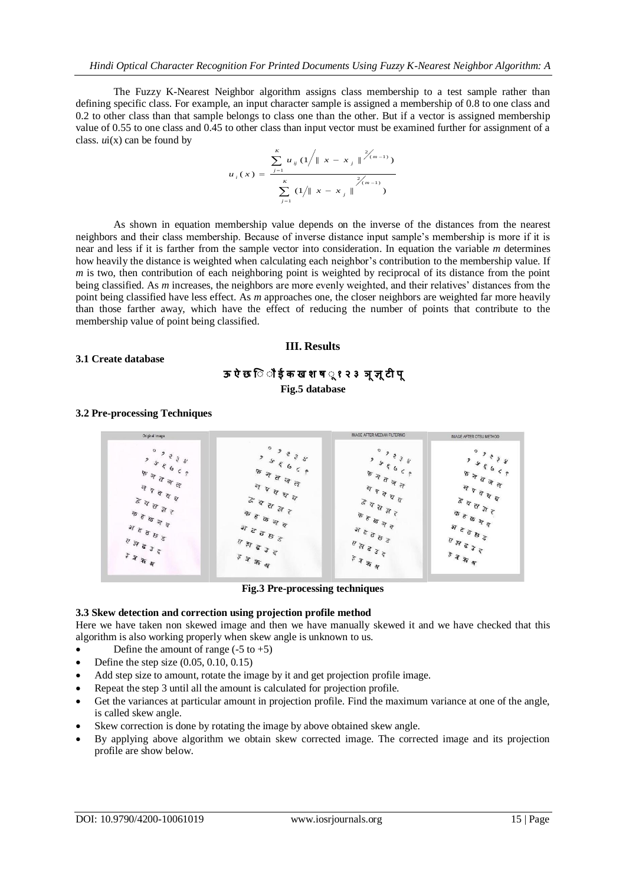The Fuzzy K-Nearest Neighbor algorithm assigns class membership to a test sample rather than defining specific class. For example, an input character sample is assigned a membership of 0.8 to one class and 0.2 to other class than that sample belongs to class one than the other. But if a vector is assigned membership value of 0.55 to one class and 0.45 to other class than input vector must be examined further for assignment of a class.  $ui(x)$  can be found by

$$
u_{i}(x) = \frac{\sum_{j=1}^{K} u_{ij} (1/\|x - x_{j}\|^{2/(m-1)})}{\sum_{j=1}^{K} (1/\|x - x_{j}\|^{2/(m-1)})}
$$

As shown in equation membership value depends on the inverse of the distances from the nearest neighbors and their class membership. Because of inverse distance input sample's membership is more if it is near and less if it is farther from the sample vector into consideration. In equation the variable *m* determines how heavily the distance is weighted when calculating each neighbor's contribution to the membership value. If *m* is two, then contribution of each neighboring point is weighted by reciprocal of its distance from the point being classified. As *m* increases, the neighbors are more evenly weighted, and their relatives' distances from the point being classified have less effect. As *m* approaches one, the closer neighbors are weighted far more heavily than those farther away, which have the effect of reducing the number of points that contribute to the membership value of point being classified.

### **III. Results**

### **3.1 Create database**

# **ऊ ऐ छ िॉ ॉ ई क ख श ष ॉ १ २ ३ ञ ज्ञ टी प Fig.5 database**

### **3.2 Pre-processing Techniques**



**Fig.3 Pre-processing techniques**

### **3.3 Skew detection and correction using projection profile method**

Here we have taken non skewed image and then we have manually skewed it and we have checked that this algorithm is also working properly when skew angle is unknown to us.

- Define the amount of range  $(-5 \text{ to } +5)$
- Define the step size (0.05, 0.10, 0.15)
- Add step size to amount, rotate the image by it and get projection profile image.
- Repeat the step 3 until all the amount is calculated for projection profile.
- Get the variances at particular amount in projection profile. Find the maximum variance at one of the angle, is called skew angle.
- Skew correction is done by rotating the image by above obtained skew angle.
- By applying above algorithm we obtain skew corrected image. The corrected image and its projection profile are show below.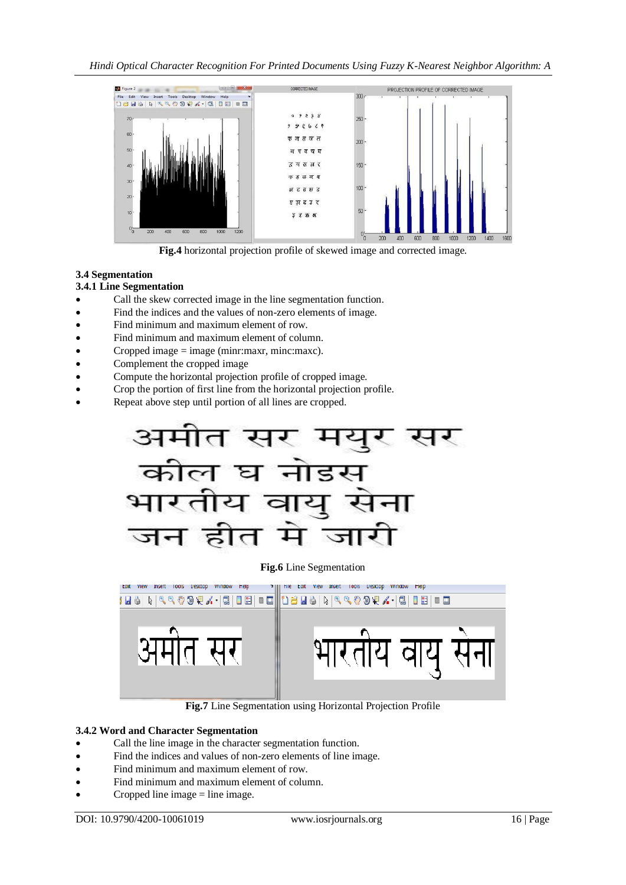

**Fig.4** horizontal projection profile of skewed image and corrected image.

# **3.4 Segmentation**

# **3.4.1 Line Segmentation**

- Call the skew corrected image in the line segmentation function.
- Find the indices and the values of non-zero elements of image.
- Find minimum and maximum element of row.
- Find minimum and maximum element of column.
- Cropped image  $=$  image (minr:maxr, minc:maxc).
- Complement the cropped image
- Compute the horizontal projection profile of cropped image.
- Crop the portion of first line from the horizontal projection profile.
- Repeat above step until portion of all lines are cropped.



### **Fig.6** Line Segmentation



**Fig.7** Line Segmentation using Horizontal Projection Profile

# **3.4.2 Word and Character Segmentation**

- Call the line image in the character segmentation function.
- Find the indices and values of non-zero elements of line image.
- Find minimum and maximum element of row.
- Find minimum and maximum element of column.
- Cropped line image  $=$  line image.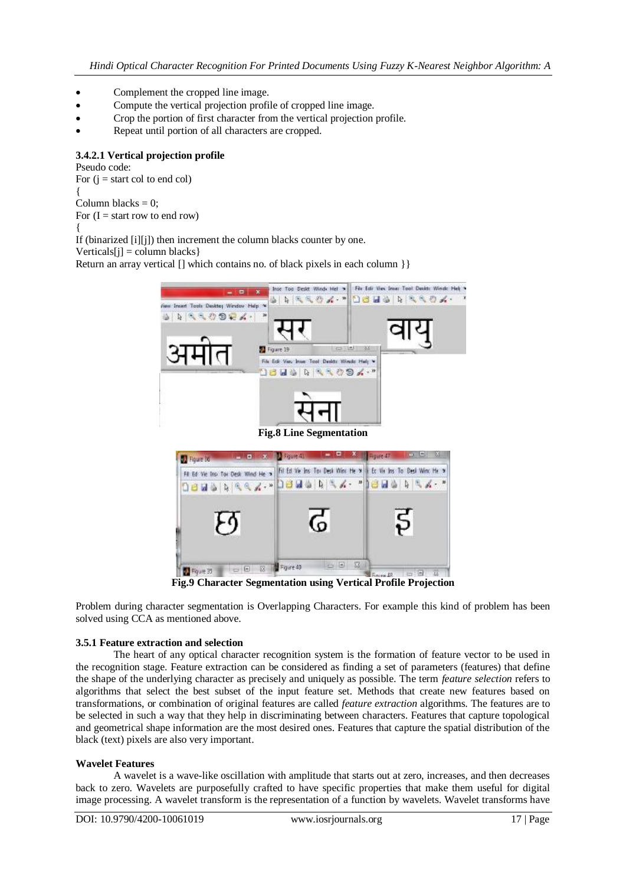- Complement the cropped line image.
- Compute the vertical projection profile of cropped line image.
- Crop the portion of first character from the vertical projection profile.
- Repeat until portion of all characters are cropped.

# **3.4.2.1 Vertical projection profile**

Pseudo code: For  $(i = start col to end col)$ { Column blacks  $= 0$ ; For  $(I = start row to end row)$ { If (binarized [i][j]) then increment the column blacks counter by one.

 $Verticals[i] = column blacks$ 

Return an array vertical [] which contains no. of black pixels in each column  $\}$ 



**Fig.9 Character Segmentation using Vertical Profile Projection**

Problem during character segmentation is Overlapping Characters. For example this kind of problem has been solved using CCA as mentioned above.

### **3.5.1 Feature extraction and selection**

The heart of any optical character recognition system is the formation of feature vector to be used in the recognition stage. Feature extraction can be considered as finding a set of parameters (features) that define the shape of the underlying character as precisely and uniquely as possible. The term *feature selection* refers to algorithms that select the best subset of the input feature set. Methods that create new features based on transformations, or combination of original features are called *feature extraction* algorithms. The features are to be selected in such a way that they help in discriminating between characters. Features that capture topological and geometrical shape information are the most desired ones. Features that capture the spatial distribution of the black (text) pixels are also very important.

### **Wavelet Features**

A wavelet is a wave-like oscillation with amplitude that starts out at zero, increases, and then decreases back to zero. Wavelets are purposefully crafted to have specific properties that make them useful for digital image processing. A wavelet transform is the representation of a function by wavelets. Wavelet transforms have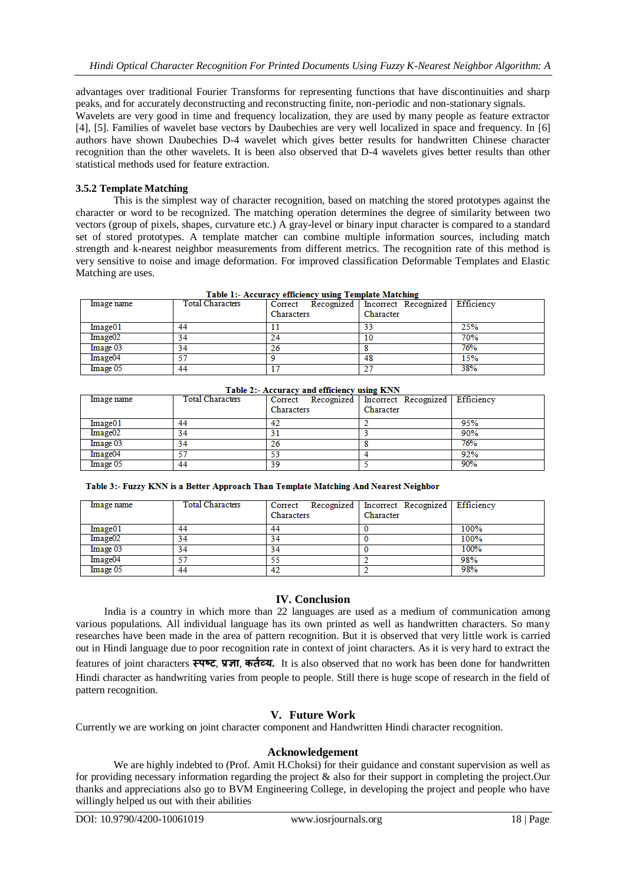advantages over traditional Fourier Transforms for representing functions that have discontinuities and sharp peaks, and for accurately deconstructing and reconstructing finite, non-periodic and non-stationary signals. Wavelets are very good in time and frequency localization, they are used by many people as feature extractor [4], [5]. Families of wavelet base vectors by Daubechies are very well localized in space and frequency. In [6] authors have shown Daubechies D-4 wavelet which gives better results for handwritten Chinese character recognition than the other wavelets. It is been also observed that D-4 wavelets gives better results than other statistical methods used for feature extraction.

### **3.5.2 Template Matching**

This is the simplest way of character recognition, based on matching the stored prototypes against the character or word to be recognized. The matching operation determines the degree of similarity between two vectors (group of pixels, shapes, curvature etc.) A gray-level or binary input character is compared to a standard set of stored prototypes. A template matcher can combine multiple information sources, including match strength and k-nearest neighbor measurements from different metrics. The recognition rate of this method is very sensitive to noise and image deformation. For improved classification Deformable Templates and Elastic Matching are uses.

| Table 1:- Accuracy efficiency using Template Matching |                         |            |                                           |            |  |  |  |
|-------------------------------------------------------|-------------------------|------------|-------------------------------------------|------------|--|--|--|
| Image name                                            | <b>Total Characters</b> |            | Correct Recognized   Incorrect Recognized | Efficiency |  |  |  |
|                                                       |                         | Characters | Character                                 |            |  |  |  |
| Image01                                               | 44                      |            | 33                                        | 25%        |  |  |  |
| Image <sub>02</sub>                                   | 34                      | 24         | 10                                        | 70%        |  |  |  |
| Image 03                                              | 34                      | 26         |                                           | 76%        |  |  |  |
| Image04                                               | 57                      |            | 48                                        | 15%        |  |  |  |
| Image 05                                              | 44                      |            | 27                                        | 38%        |  |  |  |

| Table 1:- Accuracy efficiency using Template Matching |
|-------------------------------------------------------|
|-------------------------------------------------------|

| Table 2:- Accuracy and efficiency using KNN |                         |            |                                                        |     |  |  |  |
|---------------------------------------------|-------------------------|------------|--------------------------------------------------------|-----|--|--|--|
| Image name                                  | <b>Total Characters</b> |            | Correct Recognized   Incorrect Recognized   Efficiency |     |  |  |  |
|                                             |                         | Characters | Character                                              |     |  |  |  |
| Image01                                     | 44                      |            |                                                        | 95% |  |  |  |
| Image <sub>02</sub>                         | 34                      |            |                                                        | 90% |  |  |  |
| Image 03                                    | 34                      | 26         |                                                        | 76% |  |  |  |
| Image04                                     | -57                     |            |                                                        | 92% |  |  |  |
| Image 05                                    | 44                      | 39         |                                                        | 90% |  |  |  |

Table 3:- Fuzzy KNN is a Better Approach Than Template Matching And Nearest Neighbor

| Image name          | <b>Total Characters</b> | Characters | Correct Recognized   Incorrect Recognized   Efficiency<br>Character |      |
|---------------------|-------------------------|------------|---------------------------------------------------------------------|------|
| Image01             | 44                      | 44         |                                                                     | 100% |
| Image <sub>02</sub> | 34                      | 34         |                                                                     | 100% |
| Image 03            | 34                      | 34         |                                                                     | 100% |
| Image04             | 57                      | 55         |                                                                     | 98%  |
| Image 05            | 44                      | 42         |                                                                     | 98%  |

# **IV. Conclusion**

India is a country in which more than 22 languages are used as a medium of communication among various populations. All individual language has its own printed as well as handwritten characters. So many researches have been made in the area of pattern recognition. But it is observed that very little work is carried out in Hindi language due to poor recognition rate in context of joint characters. As it is very hard to extract the features of joint characters **स्पष्ट**, **प्रज्ञा**, **कर्तव्य.** It is also observed that no work has been done for handwritten Hindi character as handwriting varies from people to people. Still there is huge scope of research in the field of pattern recognition.

# **V. Future Work**

Currently we are working on joint character component and Handwritten Hindi character recognition.

# **Acknowledgement**

We are highly indebted to (Prof. Amit H.Choksi) for their guidance and constant supervision as well as for providing necessary information regarding the project & also for their support in completing the project.Our thanks and appreciations also go to BVM Engineering College, in developing the project and people who have willingly helped us out with their abilities